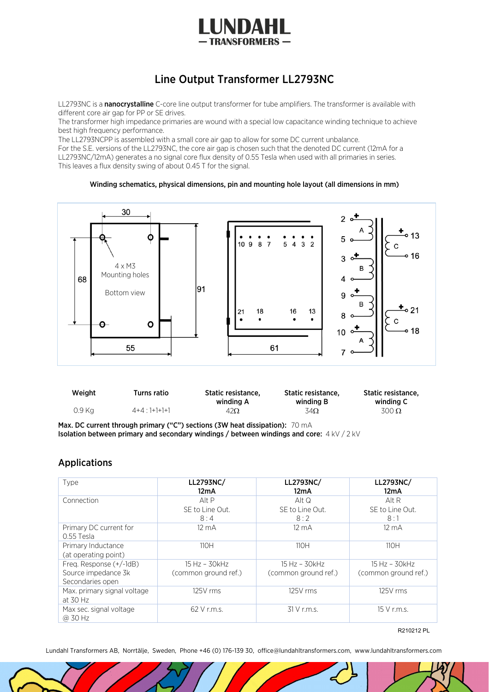

## Line Output Transformer LL2793NC

LL2793NC is a nanocrystalline C-core line output transformer for tube amplifiers. The transformer is available with different core air gap for PP or SE drives.

The transformer high impedance primaries are wound with a special low capacitance winding technique to achieve best high frequency performance.

The LL2793NCPP is assembled with a small core air gap to allow for some DC current unbalance.

For the S.E. versions of the LL2793NC, the core air gap is chosen such that the denoted DC current (12mA for a LL2793NC/12mA) generates a no signal core flux density of 0.55 Tesla when used with all primaries in series. This leaves a flux density swing of about 0.45 T for the signal.

## Winding schematics, physical dimensions, pin and mounting hole layout (all dimensions in mm)



| Weight | Turns ratio     | Static resistance.<br>winding A | Static resistance.<br>winding B | <b>Static resistance.</b><br>winding C |
|--------|-----------------|---------------------------------|---------------------------------|----------------------------------------|
| 0.9 Ka | $4+4$ : 1+1+1+1 | $42\Omega$                      | 34Ω                             | $300 \Omega$                           |

Max. DC current through primary ("C") sections (3W heat dissipation): 70 mA Isolation between primary and secondary windings / between windings and core:4 kV / 2 kV

## Applications

| Type                                       | LL2793NC/<br>12mA    | LL2793NC/<br>12mA    | LL2793NC/<br>12mA    |
|--------------------------------------------|----------------------|----------------------|----------------------|
| Connection                                 | Alt P                | Alt Q                | Alt R                |
|                                            | SE to Line Out.      | SE to Line Out.      | SE to Line Out.      |
|                                            | 8:4                  | 8:2                  | 8:1                  |
| Primary DC current for<br>0.55 Tesla       | $12 \text{ mA}$      | $12 \text{ mA}$      | $12 \text{ mA}$      |
| Primary Inductance<br>(at operating point) | 110H                 | 11OH                 | 110H                 |
| Freq. Response (+/-1dB)                    | 15 Hz - 30kHz        | $15 Hz - 30 kHz$     | 15 Hz - 30kHz        |
| Source impedance 3k<br>Secondaries open    | (common ground ref.) | (common ground ref.) | (common ground ref.) |
| Max. primary signal voltage<br>at 30 Hz    | 125V rms             | 125V rms             | 125V rms             |
| Max sec. signal voltage<br>@ 30 Hz         | 62 V r.m.s.          | 31 V r.m.s.          | 15 V r.m.s.          |

R210212 PL

Lundahl Transformers AB, Norrtälje, Sweden, Phone +46 (0) 176-139 30, office@lundahltransformers.com, www.lundahltransformers.com